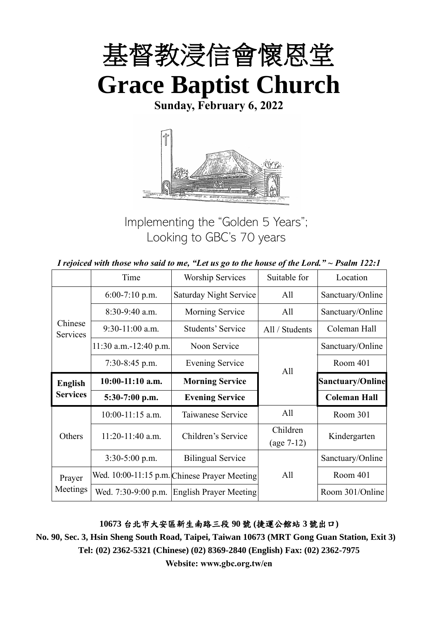

**Sunday, February 6, 2022**



Implementing the "Golden 5 Years"; Looking to GBC's 70 years

|  | I rejoiced with those who said to me, "Let us go to the house of the Lord." $\sim$ Psalm 122:1 |
|--|------------------------------------------------------------------------------------------------|
|--|------------------------------------------------------------------------------------------------|

|                     | Time                    | <b>Worship Services</b>                      | Suitable for   |                         |
|---------------------|-------------------------|----------------------------------------------|----------------|-------------------------|
|                     | $6:00-7:10$ p.m.        | Saturday Night Service                       | All            | Sanctuary/Online        |
|                     | $8:30-9:40$ a.m.        | Morning Service                              | All            | Sanctuary/Online        |
| Chinese<br>Services | $9:30-11:00$ a.m.       | Students' Service                            | All / Students | Coleman Hall            |
|                     | $11:30$ a.m.-12:40 p.m. | Noon Service                                 |                | Sanctuary/Online        |
|                     | $7:30-8:45$ p.m.        | <b>Evening Service</b>                       | All            | Room 401                |
| <b>English</b>      | $10:00-11:10$ a.m.      | <b>Morning Service</b>                       |                | <b>Sanctuary/Online</b> |
| <b>Services</b>     | 5:30-7:00 p.m.          | <b>Evening Service</b>                       |                | <b>Coleman Hall</b>     |
|                     | $10:00-11:15$ a.m.      | Taiwanese Service                            | All            | Room 301                |
| Others              | $11:20-11:40$ a.m.      | Children's Service                           | Children       | Kindergarten            |
|                     |                         |                                              | $(age 7-12)$   |                         |
|                     | $3:30-5:00$ p.m.        | <b>Bilingual Service</b>                     |                | Sanctuary/Online        |
| Prayer              |                         | Wed. 10:00-11:15 p.m. Chinese Prayer Meeting | All            | Room 401                |
| Meetings            | Wed. 7:30-9:00 p.m.     | <b>English Prayer Meeting</b>                |                | Room 301/Online         |

#### **10673** 台北市大安區新生南路三段 **90** 號 **(**捷運公館站 **3** 號出口**)**

**No. 90, Sec. 3, Hsin Sheng South Road, Taipei, Taiwan 10673 (MRT Gong Guan Station, Exit 3) Tel: (02) 2362-5321 (Chinese) (02) 8369-2840 (English) Fax: (02) 2362-7975**

**Website: www.gbc.org.tw/en**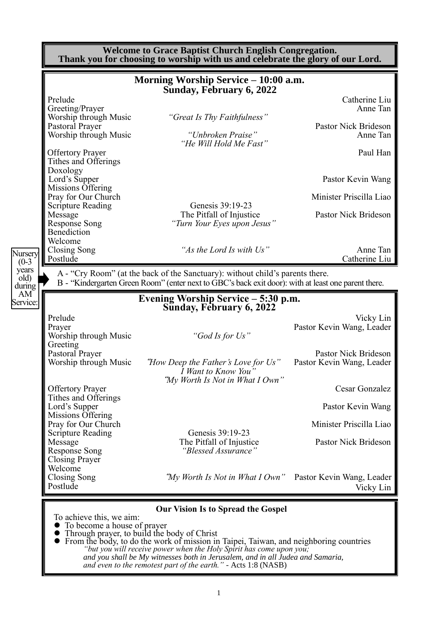|                                                          | Morning Worship Service - 10:00 a.m.<br>Sunday, February 6, 2022                                                                                                                                                            |                                                                                                                                                                                       |
|----------------------------------------------------------|-----------------------------------------------------------------------------------------------------------------------------------------------------------------------------------------------------------------------------|---------------------------------------------------------------------------------------------------------------------------------------------------------------------------------------|
| Prelude                                                  |                                                                                                                                                                                                                             | Catherine Liu                                                                                                                                                                         |
| Greeting/Prayer                                          |                                                                                                                                                                                                                             | Anne Tan                                                                                                                                                                              |
| Worship through Music<br>Pastoral Prayer                 | "Great Is Thy Faithfulness"                                                                                                                                                                                                 | Pastor Nick Brideson                                                                                                                                                                  |
| Worship through Music                                    | "Unbroken Praise"<br>"He Will Hold Me Fast"                                                                                                                                                                                 | Anne Tan                                                                                                                                                                              |
| <b>Offertory Prayer</b><br>Tithes and Offerings          |                                                                                                                                                                                                                             | Paul Han                                                                                                                                                                              |
| Doxology<br>Lord's Supper<br>Missions Offering           |                                                                                                                                                                                                                             | Pastor Kevin Wang                                                                                                                                                                     |
| Pray for Our Church                                      |                                                                                                                                                                                                                             | Minister Priscilla Liao                                                                                                                                                               |
| <b>Scripture Reading</b>                                 | Genesis 39:19-23                                                                                                                                                                                                            |                                                                                                                                                                                       |
| Message                                                  | The Pitfall of Injustice                                                                                                                                                                                                    | Pastor Nick Brideson                                                                                                                                                                  |
| <b>Response Song</b><br>Benediction                      | "Turn Your Eyes upon Jesus"                                                                                                                                                                                                 |                                                                                                                                                                                       |
| Welcome                                                  |                                                                                                                                                                                                                             |                                                                                                                                                                                       |
| Closing Song                                             | "As the Lord Is with Us"                                                                                                                                                                                                    | Anne Tan                                                                                                                                                                              |
| Postlude                                                 |                                                                                                                                                                                                                             | Catherine Liu                                                                                                                                                                         |
|                                                          | A - "Cry Room" (at the back of the Sanctuary): without child's parents there.<br>B - "Kindergarten Green Room" (enter next to GBC's back exit door): with at least one parent there.<br>Evening Worship Service – 5:30 p.m. |                                                                                                                                                                                       |
|                                                          | Sunday, February 6, 2022                                                                                                                                                                                                    |                                                                                                                                                                                       |
| Prelude                                                  |                                                                                                                                                                                                                             |                                                                                                                                                                                       |
| Prayer<br>Worship through Music<br>Greeting              | "God Is for Us"                                                                                                                                                                                                             |                                                                                                                                                                                       |
| Pastoral Prayer                                          |                                                                                                                                                                                                                             |                                                                                                                                                                                       |
| Worship through Music                                    | "How Deep the Father's Love for Us"<br>I Want to Know You'                                                                                                                                                                  |                                                                                                                                                                                       |
| <b>Offertory Prayer</b><br>Tithes and Offerings          | "My Worth Is Not in What I Own"                                                                                                                                                                                             |                                                                                                                                                                                       |
| Lord's Supper<br>Missions Offering                       |                                                                                                                                                                                                                             |                                                                                                                                                                                       |
| Pray for Our Church<br><b>Scripture Reading</b>          | Genesis 39:19-23                                                                                                                                                                                                            |                                                                                                                                                                                       |
| Message<br><b>Response Song</b><br><b>Closing Prayer</b> | The Pitfall of Injustice<br>"Blessed Assurance"                                                                                                                                                                             | Vicky Lin<br>Pastor Kevin Wang, Leader<br>Pastor Nick Brideson<br>Pastor Kevin Wang, Leader<br>Cesar Gonzalez<br>Pastor Kevin Wang<br>Minister Priscilla Liao<br>Pastor Nick Brideson |
| Welcome<br>Closing Song<br>Postlude                      | "My Worth Is Not in What I Own" Pastor Kevin Wang, Leader                                                                                                                                                                   | Vicky Lin                                                                                                                                                                             |

> *"but you will receive power when the Holy Spirit has come upon you; and you shall be My witnesses both in Jerusalem, and in all Judea and Samaria, and even to the remotest part of the earth." -* Acts 1:8 (NASB)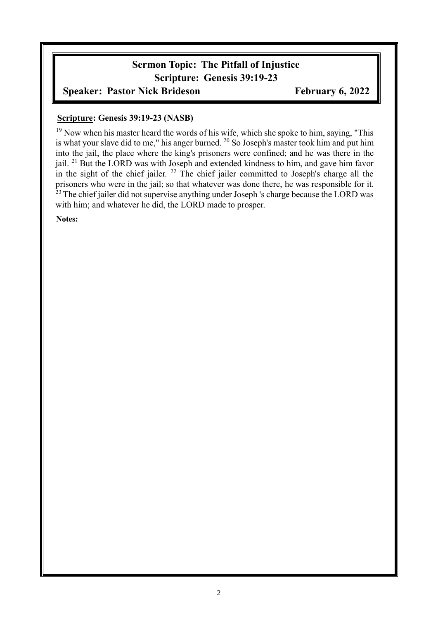# **Sermon Topic: The Pitfall of Injustice Scripture: Genesis 39:19-23**

# **Speaker: Pastor Nick Brideson February 6, 2022**

#### **Scripture: Genesis 39:19-23 (NASB)**

 $19$  Now when his master heard the words of his wife, which she spoke to him, saying, "This is what your slave did to me," his anger burned. <sup>20</sup> So Joseph's master took him and put him into the jail, the place where the king's prisoners were confined; and he was there in the jail. <sup>21</sup> But the LORD was with Joseph and extended kindness to him, and gave him favor in the sight of the chief jailer. <sup>22</sup> The chief jailer committed to Joseph's charge all the prisoners who were in the jail; so that whatever was done there, he was responsible for it. <sup>23</sup>The chief jailer did not supervise anything under Joseph 's charge because the LORD was with him; and whatever he did, the LORD made to prosper.

**Notes:**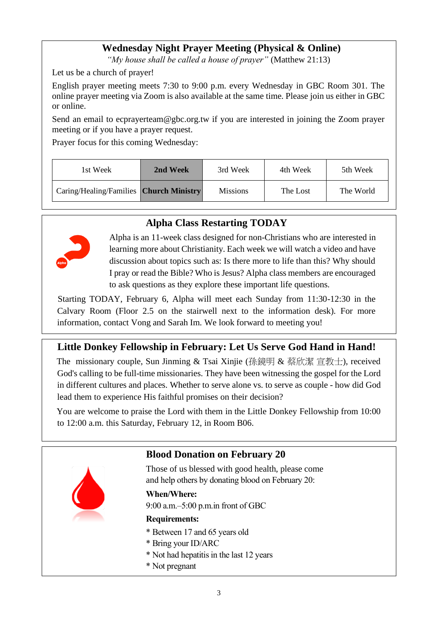# **Wednesday Night Prayer Meeting (Physical & Online)**

*"My house shall be called a house of prayer"* (Matthew 21:13)

Let us be a church of prayer!

English prayer meeting meets 7:30 to 9:00 p.m. every Wednesday in GBC Room 301. The online prayer meeting via Zoom is also available at the same time. Please join us either in GBC or online.

Send an email to ecprayerteam@gbc.org.tw if you are interested in joining the Zoom prayer meeting or if you have a prayer request.

Prayer focus for this coming Wednesday:

| 1st Week                                | 2nd Week | 3rd Week        | 4th Week | 5th Week  |
|-----------------------------------------|----------|-----------------|----------|-----------|
| Caring/Healing/Families Church Ministry |          | <b>Missions</b> | The Lost | The World |

# **Alpha Class Restarting TODAY**



Alpha is an 11-week class designed for non-Christians who are interested in learning more about Christianity. Each week we will watch a video and have discussion about topics such as: Is there more to life than this? Why should I pray or read the Bible? Who is Jesus? Alpha class members are encouraged to ask questions as they explore these important life questions.

Starting TODAY, February 6, Alpha will meet each Sunday from 11:30-12:30 in the Calvary Room (Floor 2.5 on the stairwell next to the information desk). For more information, contact Vong and Sarah Im. We look forward to meeting you!

# **Little Donkey Fellowship in February: Let Us Serve God Hand in Hand!**

The missionary couple, Sun Jinming & Tsai Xinjie (孫鏡明 & 蔡欣潔 宣教十), received God's calling to be full-time missionaries. They have been witnessing the gospel for the Lord in different cultures and places. Whether to serve alone vs. to serve as couple - how did God lead them to experience His faithful promises on their decision?

You are welcome to praise the Lord with them in the Little Donkey Fellowship from 10:00 to 12:00 a.m. this Saturday, February 12, in Room B06.

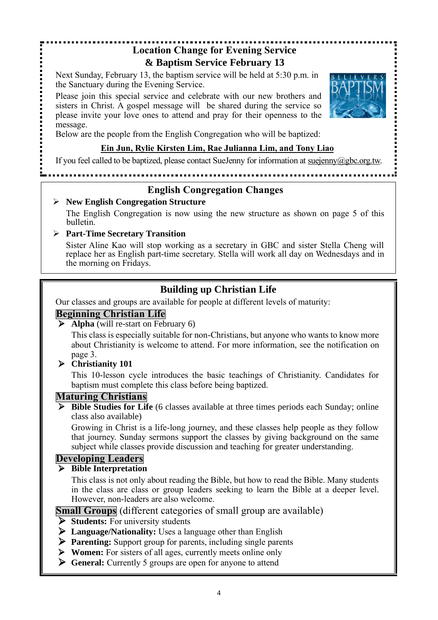#### **Location Change for Evening Service & Baptism Service February 13**

Next Sunday, February 13, the baptism service will be held at 5:30 p.m. in the Sanctuary during the Evening Service.

Please join this special service and celebrate with our new brothers and sisters in Christ. A gospel message will be shared during the service so please invite your love ones to attend and pray for their openness to the message.



Below are the people from the English Congregation who will be baptized:

#### **Ein Jun, Rylie Kirsten Lim, Rae Julianna Lim, and Tony Liao**

If you feel called to be baptized, please contact SueJenny for information at suejenny@gbc.org.tw.

### **English Congregation Changes**

................................

#### ➢ **New English Congregation Structure**

The English Congregation is now using the new structure as shown on page 5 of this bulletin.

#### ➢ **Part-Time Secretary Transition**

Sister Aline Kao will stop working as a secretary in GBC and sister Stella Cheng will replace her as English part-time secretary. Stella will work all day on Wednesdays and in the morning on Fridays.

# **Building up Christian Life**

Our classes and groups are available for people at different levels of maturity:

### **Beginning Christian Life**

➢ **Alpha** (will re-start on February 6)

This class is especially suitable for non-Christians, but anyone who wants to know more about Christianity is welcome to attend. For more information, see the notification on page 3.

#### ➢ **Christianity 101**

This 10-lesson cycle introduces the basic teachings of Christianity. Candidates for baptism must complete this class before being baptized.

#### **Maturing Christians**

➢ **Bible Studies for Life** (6 classes available at three times periods each Sunday; online class also available)

Growing in Christ is a life-long journey, and these classes help people as they follow that journey. Sunday sermons support the classes by giving background on the same subject while classes provide discussion and teaching for greater understanding.

### **Developing Leaders**

#### ➢ **Bible Interpretation**

This class is not only about reading the Bible, but how to read the Bible. Many students in the class are class or group leaders seeking to learn the Bible at a deeper level. However, non-leaders are also welcome.

**Small Groups** (different categories of small group are available)

- ➢ **Students:** For university students
- ➢ **Language/Nationality:** Uses a language other than English
- ➢ **Parenting:** Support group for parents, including single parents
- ➢ **Women:** For sisters of all ages, currently meets online only
- ➢ **General:** Currently 5 groups are open for anyone to attend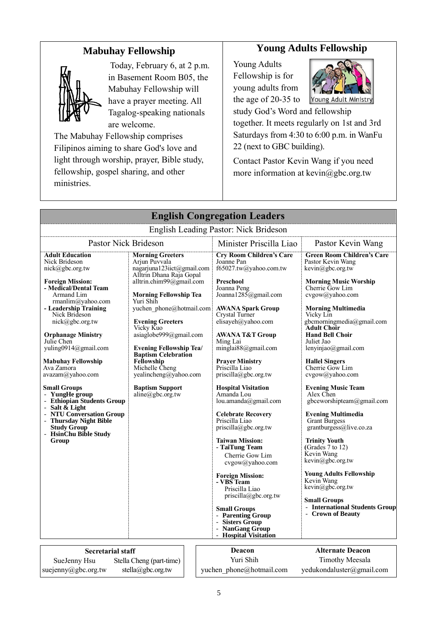# **Mabuhay Fellowship**



Today, February 6, at 2 p.m. in Basement Room B05, the Mabuhay Fellowship will have a prayer meeting. All Tagalog-speaking nationals are welcome.

The Mabuhay Fellowship comprises Filipinos aiming to share God's love and light through worship, prayer, Bible study, fellowship, gospel sharing, and other ministries.

### **Young Adults Fellowship**

Young Adults Fellowship is for young adults from the age of 20-35 to



study God's Word and fellowship together. It meets regularly on 1st and 3rd Saturdays from 4:30 to 6:00 p.m. in WanFu 22 (next to GBC building).

Contact Pastor Kevin Wang if you need more information at kevin@gbc.org.tw

| <b>English Congregation Leaders</b>                                                                                                                                                                                                                                                                                                                                                                                                                                                                                                              |                                                                                                                                                                                                                                                                                                                                                                                                                                                          |  |                                                                                                                                                                                                                                                                                                                                                                                                                                                                                                                                                                                    |                                                                                                                                                                                                                                                                                                                                                                                                                                                                                                                                                                                                                       |
|--------------------------------------------------------------------------------------------------------------------------------------------------------------------------------------------------------------------------------------------------------------------------------------------------------------------------------------------------------------------------------------------------------------------------------------------------------------------------------------------------------------------------------------------------|----------------------------------------------------------------------------------------------------------------------------------------------------------------------------------------------------------------------------------------------------------------------------------------------------------------------------------------------------------------------------------------------------------------------------------------------------------|--|------------------------------------------------------------------------------------------------------------------------------------------------------------------------------------------------------------------------------------------------------------------------------------------------------------------------------------------------------------------------------------------------------------------------------------------------------------------------------------------------------------------------------------------------------------------------------------|-----------------------------------------------------------------------------------------------------------------------------------------------------------------------------------------------------------------------------------------------------------------------------------------------------------------------------------------------------------------------------------------------------------------------------------------------------------------------------------------------------------------------------------------------------------------------------------------------------------------------|
|                                                                                                                                                                                                                                                                                                                                                                                                                                                                                                                                                  |                                                                                                                                                                                                                                                                                                                                                                                                                                                          |  | English Leading Pastor: Nick Brideson                                                                                                                                                                                                                                                                                                                                                                                                                                                                                                                                              |                                                                                                                                                                                                                                                                                                                                                                                                                                                                                                                                                                                                                       |
| <b>Pastor Nick Brideson</b><br>Minister Priscilla Liao<br>Pastor Kevin Wang                                                                                                                                                                                                                                                                                                                                                                                                                                                                      |                                                                                                                                                                                                                                                                                                                                                                                                                                                          |  |                                                                                                                                                                                                                                                                                                                                                                                                                                                                                                                                                                                    |                                                                                                                                                                                                                                                                                                                                                                                                                                                                                                                                                                                                                       |
| <b>Adult Education</b><br>Nick Brideson<br>nick@gbc.org.tw<br><b>Foreign Mission:</b><br>- Medical/Dental Team<br>Armand Lim<br>rmanlim@yahoo.com<br>- Leadership Training<br>Nick Brideson<br>nick@gbc.org.tw<br><b>Orphanage Ministry</b><br>Julie Chen<br>yuling0914@gmail.com<br>Mabuhay Fellowship<br>Ava Zamora<br>avazam@yahoo.com<br><b>Small Groups</b><br>- YungHe group<br>- Ethiopian Students Group<br>- Salt & Light<br>- NTU Conversation Group<br>- Thursday Night Bible<br><b>Study Group</b><br>- HsinChu Bible Study<br>Group | <b>Morning Greeters</b><br>Arjun Puvvala<br>nagarjuna123iict@gmail.com<br>Alltrin Dhana Raja Gopal<br>alltrin.chim99@gmail.com<br><b>Morning Fellowship Tea</b><br>Yuri Shih<br>yuchen phone@hotmail.com<br><b>Evening Greeters</b><br>Vicky Kuo<br>asiaglobe999@gmail.com<br><b>Evening Fellowship Tea/</b><br><b>Baptism Celebration</b><br><b>Fellowship</b><br>Michelle Cheng<br>yealincheng@yahoo.com<br><b>Baptism Support</b><br>aline@gbc.org.tw |  | <b>Cry Room Children's Care</b><br>Joanne Pan<br>f65027.tw@yahoo.com.tw<br>Preschool<br>Joanna Peng<br>Joanna1285@gmail.com<br><b>AWANA Spark Group</b><br>Crystal Turner<br>elisayeh@yahoo.com<br><b>AWANA T&amp;T Group</b><br>Ming Lai<br>minglai88@gmail.com<br><b>Prayer Ministry</b><br>Priscilla Liao<br>$priscilla(\partial gbc.org.tw)$<br><b>Hospital Visitation</b><br>Amanda Lou<br>lou.amanda@gmail.com<br><b>Celebrate Recovery</b><br>Priscilla Liao<br>priscilla@gbc.org.tw<br><b>Taiwan Mission:</b><br>- TaiTung Team<br>Cherrie Gow Lim<br>$cvgow(a)$ yahoo.com | <b>Green Room Children's Care</b><br>Pastor Kevin Wang<br>kevin@gbc.org.tw<br><b>Morning Music Worship</b><br>Cherrie Gow Lim<br>cvgow@yahoo.com<br><b>Morning Multimedia</b><br>Vicky Lin<br>gbcmorningmedia@gmail.com<br><b>Adult Choir</b><br><b>Hand Bell Choir</b><br>Juliet Jao<br>lenyinjao@gmail.com<br><b>Hallel Singers</b><br>Cherrie Gow Lim<br>cvgow@yahoo.com<br><b>Evening Music Team</b><br>Alex Chen<br>gbceworshipteam@gmail.com<br><b>Evening Multimedia</b><br><b>Grant Burgess</b><br>grantburgess@live.co.za<br><b>Trinity Youth</b><br>(Grades $7$ to $12$ )<br>Kevin Wang<br>kevin@gbc.org.tw |
|                                                                                                                                                                                                                                                                                                                                                                                                                                                                                                                                                  |                                                                                                                                                                                                                                                                                                                                                                                                                                                          |  | <b>Foreign Mission:</b><br>- VBS Team<br>Priscilla Liao<br>$priscilla(\partial gbc.org.tw)$<br><b>Small Groups</b><br>- Parenting Group<br>- Sisters Group<br><b>NanGang Group</b><br><b>Hospital Visitation</b>                                                                                                                                                                                                                                                                                                                                                                   | <b>Young Adults Fellowship</b><br>Kevin Wang<br>kevin@gbc.org.tw<br>Small Groups<br><b>International Students Group</b><br><b>Crown of Beauty</b>                                                                                                                                                                                                                                                                                                                                                                                                                                                                     |
| <b>Secretarial staff</b>                                                                                                                                                                                                                                                                                                                                                                                                                                                                                                                         |                                                                                                                                                                                                                                                                                                                                                                                                                                                          |  | Deacon                                                                                                                                                                                                                                                                                                                                                                                                                                                                                                                                                                             | <b>Alternate Deacon</b>                                                                                                                                                                                                                                                                                                                                                                                                                                                                                                                                                                                               |
| SueJenny Hsu                                                                                                                                                                                                                                                                                                                                                                                                                                                                                                                                     | Stella Cheng (part-time)                                                                                                                                                                                                                                                                                                                                                                                                                                 |  | Yuri Shih                                                                                                                                                                                                                                                                                                                                                                                                                                                                                                                                                                          | <b>Timothy Meesala</b>                                                                                                                                                                                                                                                                                                                                                                                                                                                                                                                                                                                                |
| suejenny@gbc.org.tw                                                                                                                                                                                                                                                                                                                                                                                                                                                                                                                              | stella@gbc.org.tw<br>yuchen phone@hotmail.com                                                                                                                                                                                                                                                                                                                                                                                                            |  |                                                                                                                                                                                                                                                                                                                                                                                                                                                                                                                                                                                    | yedukondaluster@gmail.com                                                                                                                                                                                                                                                                                                                                                                                                                                                                                                                                                                                             |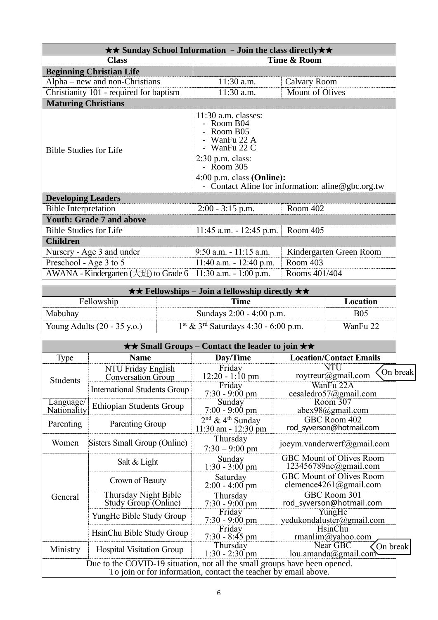| $\star\star$ Sunday School Information - Join the class directly $\star\star$ |                                                                                                                                                        |                                                   |  |  |
|-------------------------------------------------------------------------------|--------------------------------------------------------------------------------------------------------------------------------------------------------|---------------------------------------------------|--|--|
| <b>Class</b>                                                                  |                                                                                                                                                        | Time & Room                                       |  |  |
| <b>Beginning Christian Life</b>                                               |                                                                                                                                                        |                                                   |  |  |
| $Alpha$ – new and non-Christians                                              | $11:30$ a.m.                                                                                                                                           | <b>Calvary Room</b>                               |  |  |
| Christianity 101 - required for baptism                                       | 11:30 a.m.                                                                                                                                             | <b>Mount of Olives</b>                            |  |  |
| <b>Maturing Christians</b>                                                    |                                                                                                                                                        |                                                   |  |  |
| <b>Bible Studies for Life</b>                                                 | $11:30$ a.m. classes:<br>- Room B04<br>- Room B05<br>- WanFu 22 A<br>- WanFu 22 C<br>$2:30$ p.m. class:<br>$-$ Room 305<br>$4:00$ p.m. class (Online): | - Contact Aline for information: aline@gbc.org.tw |  |  |
| <b>Developing Leaders</b>                                                     |                                                                                                                                                        |                                                   |  |  |
| <b>Bible Interpretation</b>                                                   | $2:00 - 3:15$ p.m.                                                                                                                                     | Room 402                                          |  |  |
| <b>Youth: Grade 7 and above</b>                                               |                                                                                                                                                        |                                                   |  |  |
| <b>Bible Studies for Life</b>                                                 | $11:45$ a.m. $-12:45$ p.m.                                                                                                                             | Room 405                                          |  |  |
| <b>Children</b>                                                               |                                                                                                                                                        |                                                   |  |  |
| Nursery - Age 3 and under                                                     | $9:50$ a.m. $-11:15$ a.m.                                                                                                                              | Kindergarten Green Room                           |  |  |
| Preschool - Age 3 to 5                                                        | $11:40$ a.m. $-12:40$ p.m.                                                                                                                             | Room 403                                          |  |  |
| AWANA - Kindergarten $(\pm \mathcal{H})$ to Grade 6                           | $11:30$ a.m. $-1:00$ p.m.                                                                                                                              | Rooms 401/404                                     |  |  |

| $\star \star$ Fellowships – Join a fellowship directly $\star \star$ |                                                              |            |  |
|----------------------------------------------------------------------|--------------------------------------------------------------|------------|--|
| Fellowship                                                           | Time                                                         | Location   |  |
| Mabuhay                                                              | Sundays 2:00 - 4:00 p.m.                                     | <b>B05</b> |  |
| Young Adults $(20 - 35 \text{ y.o.})$                                | $1^{\text{st}}$ & 3 <sup>rd</sup> Saturdays 4:30 - 6:00 p.m. | WanFu 22   |  |

| $\star\star$ Small Groups – Contact the leader to join $\star\star$                                                                          |                                                                              |                                                           |                                                          |          |  |
|----------------------------------------------------------------------------------------------------------------------------------------------|------------------------------------------------------------------------------|-----------------------------------------------------------|----------------------------------------------------------|----------|--|
| <b>Type</b>                                                                                                                                  | <b>Name</b>                                                                  | Day/Time                                                  | <b>Location/Contact Emails</b>                           |          |  |
| Students                                                                                                                                     | NTU Friday English<br><b>Conversation Group</b>                              | Friday<br>$12:20 - 1:10$ pm                               | NTU<br>roytreur@gmail.com                                | On break |  |
|                                                                                                                                              | <b>International Students Group</b>                                          | Friday<br>$7:30 - 9:00$ pm                                | WanFu 22A<br>cesaledro57@gmail.com                       |          |  |
| Language/<br>Nationality                                                                                                                     | <b>Ethiopian Students Group</b>                                              | Sunday<br>$7:00 - 9:00$ pm                                | Room 307<br>abex98@gmail.com                             |          |  |
| Parenting                                                                                                                                    | Parenting Group                                                              | $2nd$ & 4 <sup>th</sup> Sunday<br>$11:30$ am - $12:30$ pm | GBC Room 402<br>rod syverson@hotmail.com                 |          |  |
| Women                                                                                                                                        | Sisters Small Group (Online)                                                 | Thursday<br>$7:30 - 9:00$ pm                              | joeym.vanderwerf@gmail.com                               |          |  |
|                                                                                                                                              | Salt & Light                                                                 | Sunday<br>$1:30 - 3:00$ pm                                | <b>GBC Mount of Olives Room</b><br>123456789nc@gmail.com |          |  |
| Crown of Beauty                                                                                                                              |                                                                              | Saturday<br>$2:00 - 4:00$ pm                              | GBC Mount of Olives Room<br>clemence4261@gmail.com       |          |  |
| General                                                                                                                                      | Thursday Night Bible<br>Study Group (Online)                                 | Thursday<br>$7:30 - 9:00$ pm                              | GBC Room 301<br>rod syverson@hotmail.com                 |          |  |
| YungHe Bible Study Group                                                                                                                     |                                                                              | Friday<br>$7:30 - 9:00 \text{ pm}$                        | YungHe<br>yedukondaluster@gmail.com                      |          |  |
|                                                                                                                                              | HsinChu Bible Study Group                                                    | Friday<br>$7:30 - 8:45$ pm                                | HsinChu<br>rmanlim@yahoo.com                             |          |  |
| Ministry                                                                                                                                     | Near GBC<br>Thursday<br><b>Hospital Visitation Group</b><br>$1:30 - 2:30$ pm |                                                           | On break<br>lou.amanda@gmail.com                         |          |  |
| Due to the COVID-19 situation, not all the small groups have been opened.<br>To join or for information, contact the teacher by email above. |                                                                              |                                                           |                                                          |          |  |